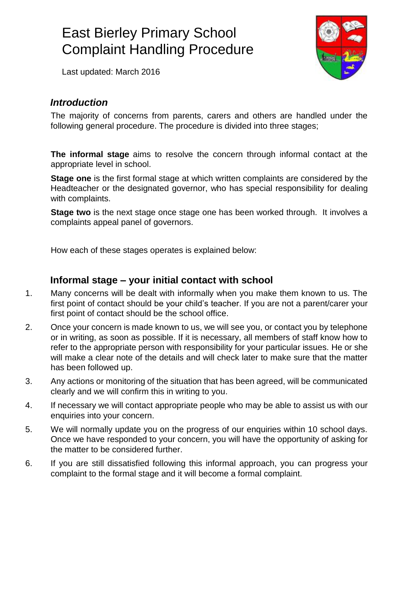Last updated: March 2016



#### *Introduction*

The majority of concerns from parents, carers and others are handled under the following general procedure. The procedure is divided into three stages;

**The informal stage** aims to resolve the concern through informal contact at the appropriate level in school.

**Stage one** is the first formal stage at which written complaints are considered by the Headteacher or the designated governor, who has special responsibility for dealing with complaints.

**Stage two** is the next stage once stage one has been worked through. It involves a complaints appeal panel of governors.

How each of these stages operates is explained below:

#### **Informal stage – your initial contact with school**

- 1. Many concerns will be dealt with informally when you make them known to us. The first point of contact should be your child's teacher. If you are not a parent/carer your first point of contact should be the school office.
- 2. Once your concern is made known to us, we will see you, or contact you by telephone or in writing, as soon as possible. If it is necessary, all members of staff know how to refer to the appropriate person with responsibility for your particular issues. He or she will make a clear note of the details and will check later to make sure that the matter has been followed up.
- 3. Any actions or monitoring of the situation that has been agreed, will be communicated clearly and we will confirm this in writing to you.
- 4. If necessary we will contact appropriate people who may be able to assist us with our enquiries into your concern.
- 5. We will normally update you on the progress of our enquiries within 10 school days. Once we have responded to your concern, you will have the opportunity of asking for the matter to be considered further.
- 6. If you are still dissatisfied following this informal approach, you can progress your complaint to the formal stage and it will become a formal complaint.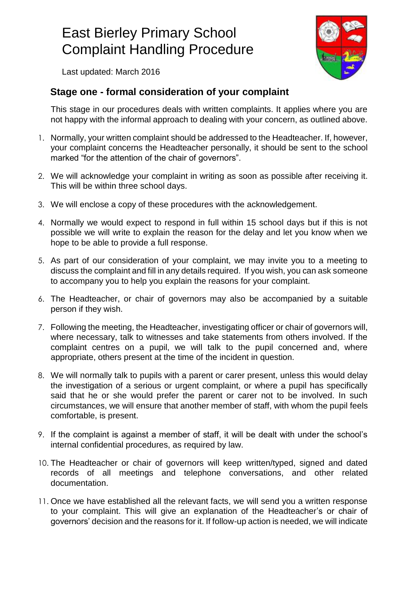Last updated: March 2016

#### **Stage one - formal consideration of your complaint**

This stage in our procedures deals with written complaints. It applies where you are not happy with the informal approach to dealing with your concern, as outlined above.

- 1. Normally, your written complaint should be addressed to the Headteacher. If, however, your complaint concerns the Headteacher personally, it should be sent to the school marked "for the attention of the chair of governors".
- 2. We will acknowledge your complaint in writing as soon as possible after receiving it. This will be within three school days.
- 3. We will enclose a copy of these procedures with the acknowledgement.
- 4. Normally we would expect to respond in full within 15 school days but if this is not possible we will write to explain the reason for the delay and let you know when we hope to be able to provide a full response.
- 5. As part of our consideration of your complaint, we may invite you to a meeting to discuss the complaint and fill in any details required. If you wish, you can ask someone to accompany you to help you explain the reasons for your complaint.
- 6. The Headteacher, or chair of governors may also be accompanied by a suitable person if they wish.
- 7. Following the meeting, the Headteacher, investigating officer or chair of governors will, where necessary, talk to witnesses and take statements from others involved. If the complaint centres on a pupil, we will talk to the pupil concerned and, where appropriate, others present at the time of the incident in question.
- 8. We will normally talk to pupils with a parent or carer present, unless this would delay the investigation of a serious or urgent complaint, or where a pupil has specifically said that he or she would prefer the parent or carer not to be involved. In such circumstances, we will ensure that another member of staff, with whom the pupil feels comfortable, is present.
- 9. If the complaint is against a member of staff, it will be dealt with under the school's internal confidential procedures, as required by law.
- 10. The Headteacher or chair of governors will keep written/typed, signed and dated records of all meetings and telephone conversations, and other related documentation.
- 11. Once we have established all the relevant facts, we will send you a written response to your complaint. This will give an explanation of the Headteacher's or chair of governors' decision and the reasons for it. If follow-up action is needed, we will indicate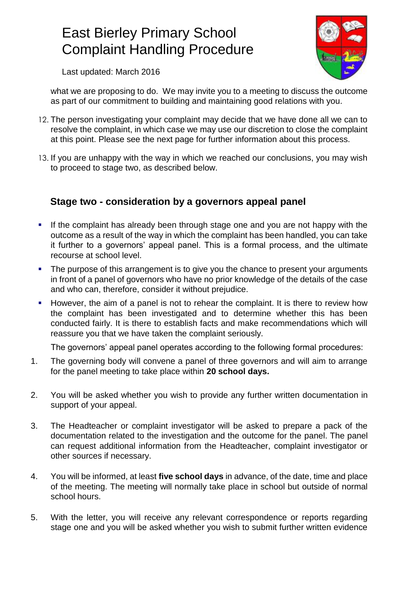

Last updated: March 2016

what we are proposing to do. We may invite you to a meeting to discuss the outcome as part of our commitment to building and maintaining good relations with you.

- 12. The person investigating your complaint may decide that we have done all we can to resolve the complaint, in which case we may use our discretion to close the complaint at this point. Please see the next page for further information about this process.
- 13. If you are unhappy with the way in which we reached our conclusions, you may wish to proceed to stage two, as described below.

#### **Stage two - consideration by a governors appeal panel**

- If the complaint has already been through stage one and you are not happy with the outcome as a result of the way in which the complaint has been handled, you can take it further to a governors' appeal panel. This is a formal process, and the ultimate recourse at school level.
- The purpose of this arrangement is to give you the chance to present your arguments in front of a panel of governors who have no prior knowledge of the details of the case and who can, therefore, consider it without prejudice.
- However, the aim of a panel is not to rehear the complaint. It is there to review how the complaint has been investigated and to determine whether this has been conducted fairly. It is there to establish facts and make recommendations which will reassure you that we have taken the complaint seriously.

The governors' appeal panel operates according to the following formal procedures:

- 1. The governing body will convene a panel of three governors and will aim to arrange for the panel meeting to take place within **20 school days.**
- 2. You will be asked whether you wish to provide any further written documentation in support of your appeal.
- 3. The Headteacher or complaint investigator will be asked to prepare a pack of the documentation related to the investigation and the outcome for the panel. The panel can request additional information from the Headteacher, complaint investigator or other sources if necessary.
- 4. You will be informed, at least **five school days** in advance, of the date, time and place of the meeting. The meeting will normally take place in school but outside of normal school hours.
- 5. With the letter, you will receive any relevant correspondence or reports regarding stage one and you will be asked whether you wish to submit further written evidence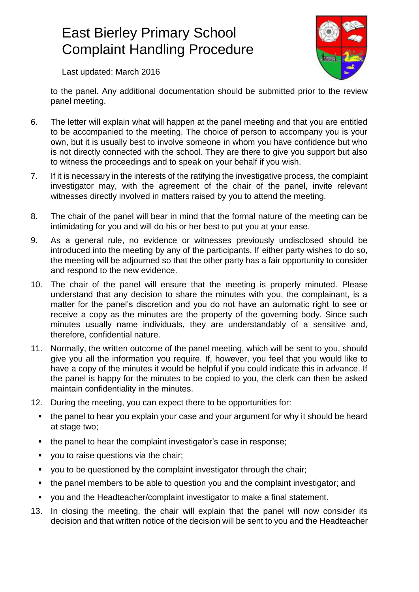

Last updated: March 2016

to the panel. Any additional documentation should be submitted prior to the review panel meeting.

- 6. The letter will explain what will happen at the panel meeting and that you are entitled to be accompanied to the meeting. The choice of person to accompany you is your own, but it is usually best to involve someone in whom you have confidence but who is not directly connected with the school. They are there to give you support but also to witness the proceedings and to speak on your behalf if you wish.
- 7. If it is necessary in the interests of the ratifying the investigative process, the complaint investigator may, with the agreement of the chair of the panel, invite relevant witnesses directly involved in matters raised by you to attend the meeting.
- 8. The chair of the panel will bear in mind that the formal nature of the meeting can be intimidating for you and will do his or her best to put you at your ease.
- 9. As a general rule, no evidence or witnesses previously undisclosed should be introduced into the meeting by any of the participants. If either party wishes to do so, the meeting will be adjourned so that the other party has a fair opportunity to consider and respond to the new evidence.
- 10. The chair of the panel will ensure that the meeting is properly minuted. Please understand that any decision to share the minutes with you, the complainant, is a matter for the panel's discretion and you do not have an automatic right to see or receive a copy as the minutes are the property of the governing body. Since such minutes usually name individuals, they are understandably of a sensitive and, therefore, confidential nature.
- 11. Normally, the written outcome of the panel meeting, which will be sent to you, should give you all the information you require. If, however, you feel that you would like to have a copy of the minutes it would be helpful if you could indicate this in advance. If the panel is happy for the minutes to be copied to you, the clerk can then be asked maintain confidentiality in the minutes.
- 12. During the meeting, you can expect there to be opportunities for:
	- the panel to hear you explain your case and your argument for why it should be heard at stage two;
	- the panel to hear the complaint investigator's case in response;
	- **v** you to raise questions via the chair;
	- vou to be questioned by the complaint investigator through the chair;
	- the panel members to be able to question you and the complaint investigator; and
	- you and the Headteacher/complaint investigator to make a final statement.
- 13. In closing the meeting, the chair will explain that the panel will now consider its decision and that written notice of the decision will be sent to you and the Headteacher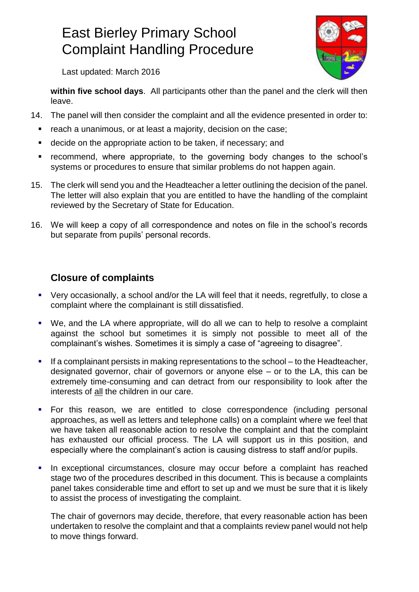

Last updated: March 2016

**within five school days**. All participants other than the panel and the clerk will then leave.

- 14. The panel will then consider the complaint and all the evidence presented in order to:
	- **F** reach a unanimous, or at least a majority, decision on the case;
	- decide on the appropriate action to be taken, if necessary; and
	- **•** recommend, where appropriate, to the governing body changes to the school's systems or procedures to ensure that similar problems do not happen again.
- 15. The clerk will send you and the Headteacher a letter outlining the decision of the panel. The letter will also explain that you are entitled to have the handling of the complaint reviewed by the Secretary of State for Education.
- 16. We will keep a copy of all correspondence and notes on file in the school's records but separate from pupils' personal records.

#### **Closure of complaints**

- Very occasionally, a school and/or the LA will feel that it needs, regretfully, to close a complaint where the complainant is still dissatisfied.
- We, and the LA where appropriate, will do all we can to help to resolve a complaint against the school but sometimes it is simply not possible to meet all of the complainant's wishes. Sometimes it is simply a case of "agreeing to disagree".
- If a complainant persists in making representations to the school to the Headteacher, designated governor, chair of governors or anyone else – or to the LA, this can be extremely time-consuming and can detract from our responsibility to look after the interests of all the children in our care.
- For this reason, we are entitled to close correspondence (including personal approaches, as well as letters and telephone calls) on a complaint where we feel that we have taken all reasonable action to resolve the complaint and that the complaint has exhausted our official process. The LA will support us in this position, and especially where the complainant's action is causing distress to staff and/or pupils.
- In exceptional circumstances, closure may occur before a complaint has reached stage two of the procedures described in this document. This is because a complaints panel takes considerable time and effort to set up and we must be sure that it is likely to assist the process of investigating the complaint.

The chair of governors may decide, therefore, that every reasonable action has been undertaken to resolve the complaint and that a complaints review panel would not help to move things forward.